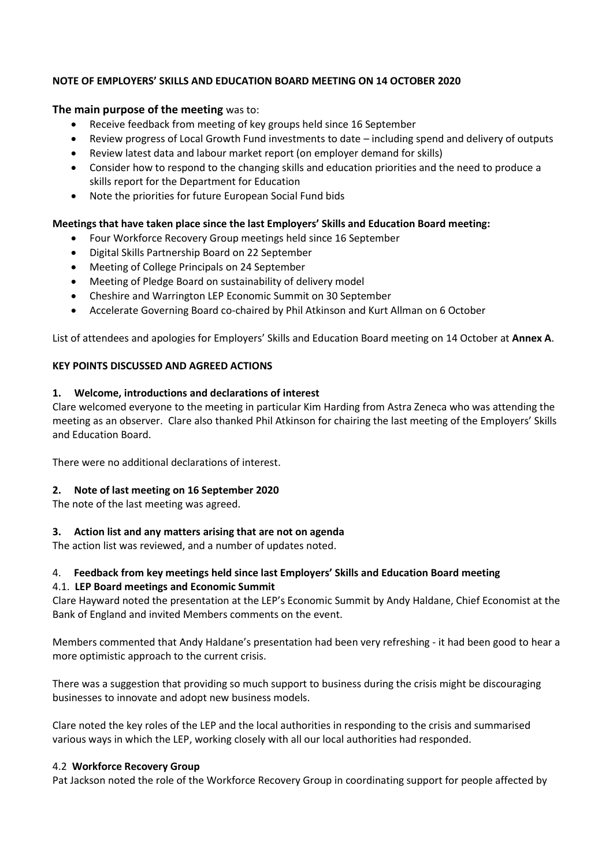## **NOTE OF EMPLOYERS' SKILLS AND EDUCATION BOARD MEETING ON 14 OCTOBER 2020**

## **The main purpose of the meeting** was to:

- Receive feedback from meeting of key groups held since 16 September
- Review progress of Local Growth Fund investments to date including spend and delivery of outputs
- Review latest data and labour market report (on employer demand for skills)
- Consider how to respond to the changing skills and education priorities and the need to produce a skills report for the Department for Education
- Note the priorities for future European Social Fund bids

## **Meetings that have taken place since the last Employers' Skills and Education Board meeting:**

- Four Workforce Recovery Group meetings held since 16 September
- Digital Skills Partnership Board on 22 September
- Meeting of College Principals on 24 September
- Meeting of Pledge Board on sustainability of delivery model
- Cheshire and Warrington LEP Economic Summit on 30 September
- Accelerate Governing Board co-chaired by Phil Atkinson and Kurt Allman on 6 October

List of attendees and apologies for Employers' Skills and Education Board meeting on 14 October at **Annex A**.

#### **KEY POINTS DISCUSSED AND AGREED ACTIONS**

#### **1. Welcome, introductions and declarations of interest**

Clare welcomed everyone to the meeting in particular Kim Harding from Astra Zeneca who was attending the meeting as an observer. Clare also thanked Phil Atkinson for chairing the last meeting of the Employers' Skills and Education Board.

There were no additional declarations of interest.

#### **2. Note of last meeting on 16 September 2020**

The note of the last meeting was agreed.

#### **3. Action list and any matters arising that are not on agenda**

The action list was reviewed, and a number of updates noted.

#### 4. **Feedback from key meetings held since last Employers' Skills and Education Board meeting**

#### 4.1. **LEP Board meetings and Economic Summit**

Clare Hayward noted the presentation at the LEP's Economic Summit by Andy Haldane, Chief Economist at the Bank of England and invited Members comments on the event.

Members commented that Andy Haldane's presentation had been very refreshing - it had been good to hear a more optimistic approach to the current crisis.

There was a suggestion that providing so much support to business during the crisis might be discouraging businesses to innovate and adopt new business models.

Clare noted the key roles of the LEP and the local authorities in responding to the crisis and summarised various ways in which the LEP, working closely with all our local authorities had responded.

#### 4.2 **Workforce Recovery Group**

Pat Jackson noted the role of the Workforce Recovery Group in coordinating support for people affected by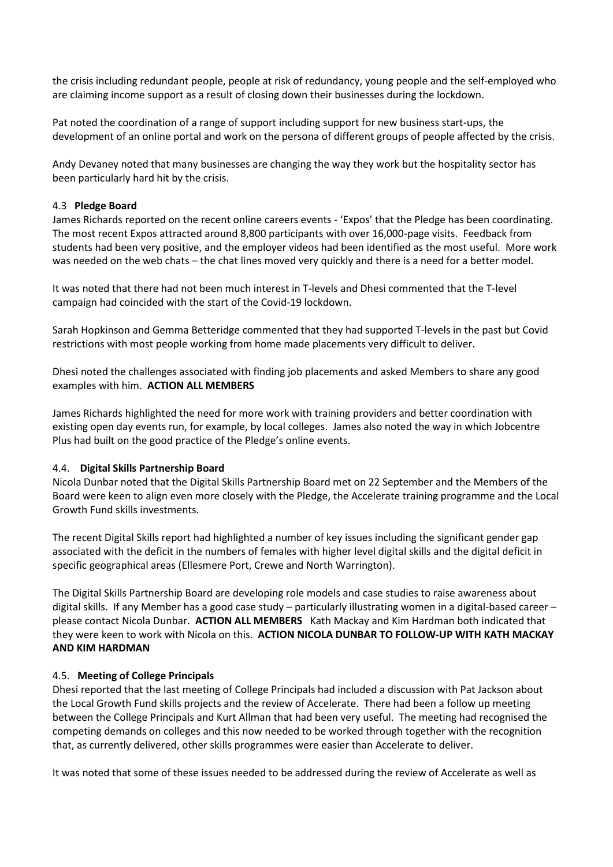the crisis including redundant people, people at risk of redundancy, young people and the self-employed who are claiming income support as a result of closing down their businesses during the lockdown.

Pat noted the coordination of a range of support including support for new business start-ups, the development of an online portal and work on the persona of different groups of people affected by the crisis.

Andy Devaney noted that many businesses are changing the way they work but the hospitality sector has been particularly hard hit by the crisis.

#### 4.3 **Pledge Board**

James Richards reported on the recent online careers events - 'Expos' that the Pledge has been coordinating. The most recent Expos attracted around 8,800 participants with over 16,000-page visits. Feedback from students had been very positive, and the employer videos had been identified as the most useful. More work was needed on the web chats – the chat lines moved very quickly and there is a need for a better model.

It was noted that there had not been much interest in T-levels and Dhesi commented that the T-level campaign had coincided with the start of the Covid-19 lockdown.

Sarah Hopkinson and Gemma Betteridge commented that they had supported T-levels in the past but Covid restrictions with most people working from home made placements very difficult to deliver.

Dhesi noted the challenges associated with finding job placements and asked Members to share any good examples with him. **ACTION ALL MEMBERS**

James Richards highlighted the need for more work with training providers and better coordination with existing open day events run, for example, by local colleges. James also noted the way in which Jobcentre Plus had built on the good practice of the Pledge's online events.

#### 4.4. **Digital Skills Partnership Board**

Nicola Dunbar noted that the Digital Skills Partnership Board met on 22 September and the Members of the Board were keen to align even more closely with the Pledge, the Accelerate training programme and the Local Growth Fund skills investments.

The recent Digital Skills report had highlighted a number of key issues including the significant gender gap associated with the deficit in the numbers of females with higher level digital skills and the digital deficit in specific geographical areas (Ellesmere Port, Crewe and North Warrington).

The Digital Skills Partnership Board are developing role models and case studies to raise awareness about digital skills. If any Member has a good case study – particularly illustrating women in a digital-based career – please contact Nicola Dunbar. **ACTION ALL MEMBERS** Kath Mackay and Kim Hardman both indicated that they were keen to work with Nicola on this. **ACTION NICOLA DUNBAR TO FOLLOW-UP WITH KATH MACKAY AND KIM HARDMAN**

#### 4.5. **Meeting of College Principals**

Dhesi reported that the last meeting of College Principals had included a discussion with Pat Jackson about the Local Growth Fund skills projects and the review of Accelerate. There had been a follow up meeting between the College Principals and Kurt Allman that had been very useful. The meeting had recognised the competing demands on colleges and this now needed to be worked through together with the recognition that, as currently delivered, other skills programmes were easier than Accelerate to deliver.

It was noted that some of these issues needed to be addressed during the review of Accelerate as well as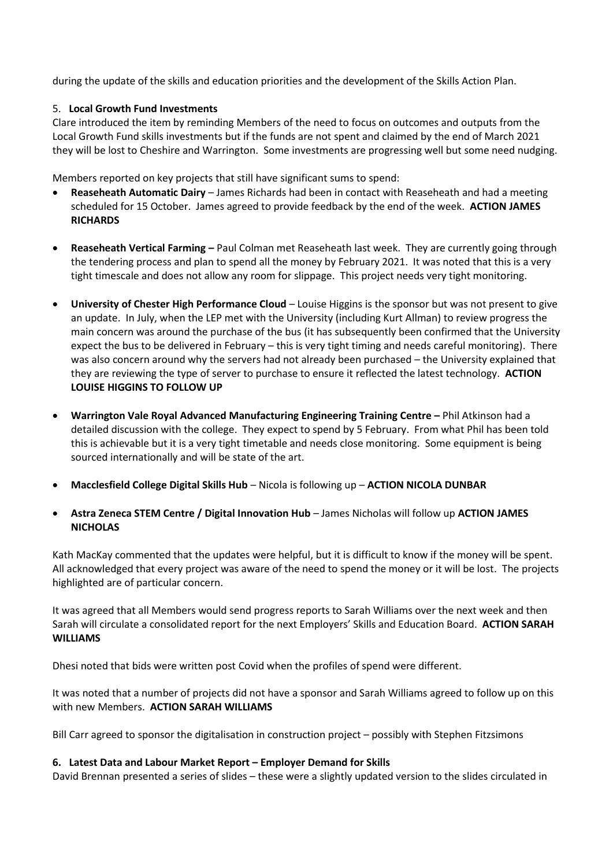during the update of the skills and education priorities and the development of the Skills Action Plan.

### 5. **Local Growth Fund Investments**

Clare introduced the item by reminding Members of the need to focus on outcomes and outputs from the Local Growth Fund skills investments but if the funds are not spent and claimed by the end of March 2021 they will be lost to Cheshire and Warrington. Some investments are progressing well but some need nudging.

Members reported on key projects that still have significant sums to spend:

- **Reaseheath Automatic Dairy** James Richards had been in contact with Reaseheath and had a meeting scheduled for 15 October. James agreed to provide feedback by the end of the week. **ACTION JAMES RICHARDS**
- **Reaseheath Vertical Farming –** Paul Colman met Reaseheath last week. They are currently going through the tendering process and plan to spend all the money by February 2021. It was noted that this is a very tight timescale and does not allow any room for slippage. This project needs very tight monitoring.
- **University of Chester High Performance Cloud** Louise Higgins is the sponsor but was not present to give an update. In July, when the LEP met with the University (including Kurt Allman) to review progress the main concern was around the purchase of the bus (it has subsequently been confirmed that the University expect the bus to be delivered in February – this is very tight timing and needs careful monitoring). There was also concern around why the servers had not already been purchased – the University explained that they are reviewing the type of server to purchase to ensure it reflected the latest technology. **ACTION LOUISE HIGGINS TO FOLLOW UP**
- **Warrington Vale Royal Advanced Manufacturing Engineering Training Centre –** Phil Atkinson had a detailed discussion with the college. They expect to spend by 5 February. From what Phil has been told this is achievable but it is a very tight timetable and needs close monitoring. Some equipment is being sourced internationally and will be state of the art.
- **Macclesfield College Digital Skills Hub** Nicola is following up **ACTION NICOLA DUNBAR**
- **Astra Zeneca STEM Centre / Digital Innovation Hub**  James Nicholas will follow up **ACTION JAMES NICHOLAS**

Kath MacKay commented that the updates were helpful, but it is difficult to know if the money will be spent. All acknowledged that every project was aware of the need to spend the money or it will be lost. The projects highlighted are of particular concern.

It was agreed that all Members would send progress reports to Sarah Williams over the next week and then Sarah will circulate a consolidated report for the next Employers' Skills and Education Board. **ACTION SARAH WILLIAMS**

Dhesi noted that bids were written post Covid when the profiles of spend were different.

It was noted that a number of projects did not have a sponsor and Sarah Williams agreed to follow up on this with new Members. **ACTION SARAH WILLIAMS**

Bill Carr agreed to sponsor the digitalisation in construction project – possibly with Stephen Fitzsimons

#### **6. Latest Data and Labour Market Report – Employer Demand for Skills**

David Brennan presented a series of slides – these were a slightly updated version to the slides circulated in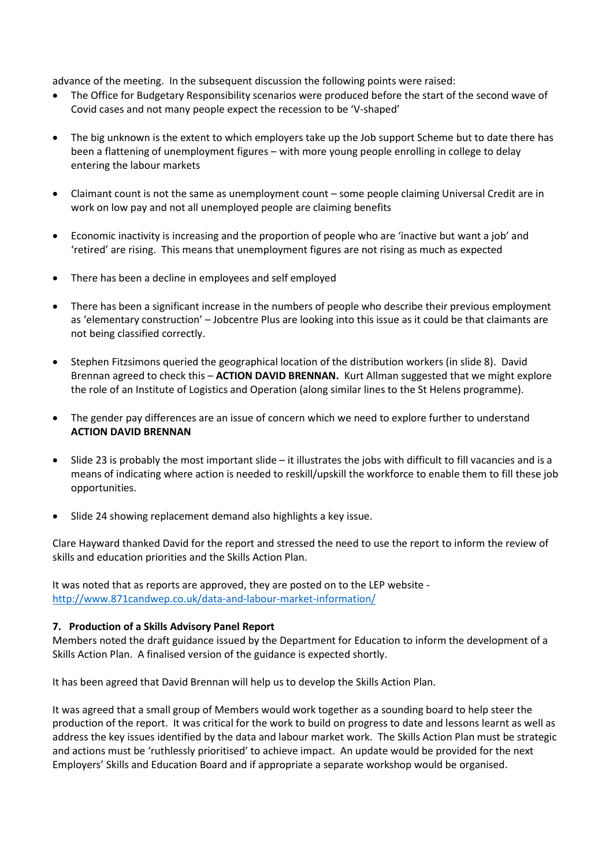advance of the meeting. In the subsequent discussion the following points were raised:

- The Office for Budgetary Responsibility scenarios were produced before the start of the second wave of Covid cases and not many people expect the recession to be 'V-shaped'
- The big unknown is the extent to which employers take up the Job support Scheme but to date there has been a flattening of unemployment figures – with more young people enrolling in college to delay entering the labour markets
- Claimant count is not the same as unemployment count some people claiming Universal Credit are in work on low pay and not all unemployed people are claiming benefits
- Economic inactivity is increasing and the proportion of people who are 'inactive but want a job' and 'retired' are rising. This means that unemployment figures are not rising as much as expected
- There has been a decline in employees and self employed
- There has been a significant increase in the numbers of people who describe their previous employment as 'elementary construction' – Jobcentre Plus are looking into this issue as it could be that claimants are not being classified correctly.
- Stephen Fitzsimons queried the geographical location of the distribution workers (in slide 8). David Brennan agreed to check this – **ACTION DAVID BRENNAN.** Kurt Allman suggested that we might explore the role of an Institute of Logistics and Operation (along similar lines to the St Helens programme).
- The gender pay differences are an issue of concern which we need to explore further to understand **ACTION DAVID BRENNAN**
- Slide 23 is probably the most important slide it illustrates the jobs with difficult to fill vacancies and is a means of indicating where action is needed to reskill/upskill the workforce to enable them to fill these job opportunities.
- Slide 24 showing replacement demand also highlights a key issue.

Clare Hayward thanked David for the report and stressed the need to use the report to inform the review of skills and education priorities and the Skills Action Plan.

It was noted that as reports are approved, they are posted on to the LEP website <http://www.871candwep.co.uk/data-and-labour-market-information/>

#### **7. Production of a Skills Advisory Panel Report**

Members noted the draft guidance issued by the Department for Education to inform the development of a Skills Action Plan. A finalised version of the guidance is expected shortly.

It has been agreed that David Brennan will help us to develop the Skills Action Plan.

It was agreed that a small group of Members would work together as a sounding board to help steer the production of the report. It was critical for the work to build on progress to date and lessons learnt as well as address the key issues identified by the data and labour market work. The Skills Action Plan must be strategic and actions must be 'ruthlessly prioritised' to achieve impact. An update would be provided for the next Employers' Skills and Education Board and if appropriate a separate workshop would be organised.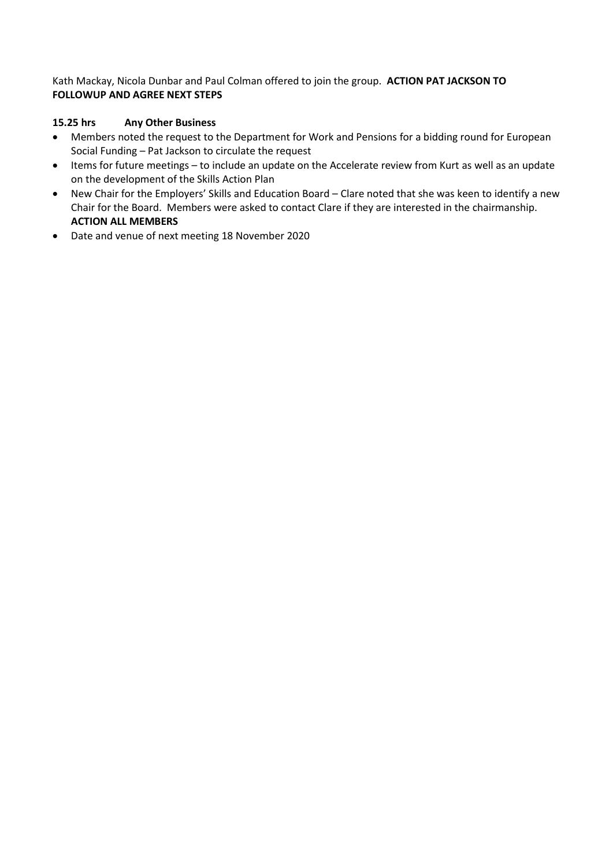Kath Mackay, Nicola Dunbar and Paul Colman offered to join the group. **ACTION PAT JACKSON TO FOLLOWUP AND AGREE NEXT STEPS**

# **15.25 hrs Any Other Business**

- Members noted the request to the Department for Work and Pensions for a bidding round for European Social Funding – Pat Jackson to circulate the request
- Items for future meetings to include an update on the Accelerate review from Kurt as well as an update on the development of the Skills Action Plan
- New Chair for the Employers' Skills and Education Board Clare noted that she was keen to identify a new Chair for the Board. Members were asked to contact Clare if they are interested in the chairmanship. **ACTION ALL MEMBERS**
- Date and venue of next meeting 18 November 2020